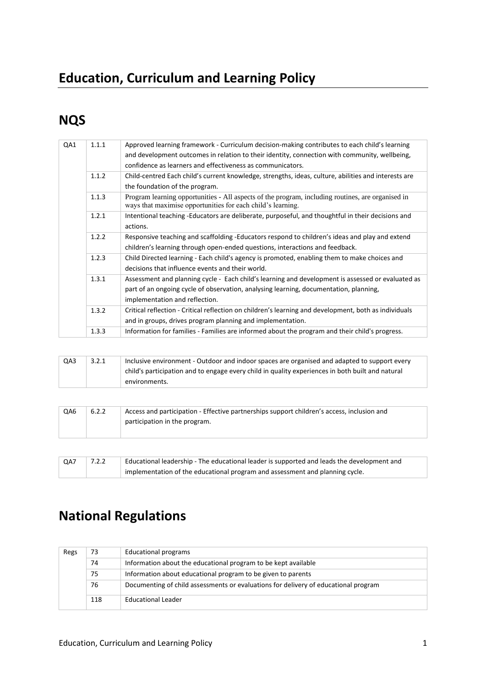## **Education, Curriculum and Learning Policy**

## **NQS**

| QA1 | 1.1.1 | Approved learning framework - Curriculum decision-making contributes to each child's learning<br>and development outcomes in relation to their identity, connection with community, wellbeing,<br>confidence as learners and effectiveness as communicators. |
|-----|-------|--------------------------------------------------------------------------------------------------------------------------------------------------------------------------------------------------------------------------------------------------------------|
|     | 1.1.2 | Child-centred Each child's current knowledge, strengths, ideas, culture, abilities and interests are<br>the foundation of the program.                                                                                                                       |
|     | 1.1.3 | Program learning opportunities - All aspects of the program, including routines, are organised in<br>ways that maximise opportunities for each child's learning.                                                                                             |
|     | 1.2.1 | Intentional teaching -Educators are deliberate, purposeful, and thoughtful in their decisions and<br>actions.                                                                                                                                                |
|     | 1.2.2 | Responsive teaching and scaffolding -Educators respond to children's ideas and play and extend<br>children's learning through open-ended questions, interactions and feedback.                                                                               |
|     | 1.2.3 | Child Directed learning - Each child's agency is promoted, enabling them to make choices and<br>decisions that influence events and their world.                                                                                                             |
|     | 1.3.1 | Assessment and planning cycle - Each child's learning and development is assessed or evaluated as<br>part of an ongoing cycle of observation, analysing learning, documentation, planning,<br>implementation and reflection.                                 |
|     | 1.3.2 | Critical reflection - Critical reflection on children's learning and development, both as individuals<br>and in groups, drives program planning and implementation.                                                                                          |
|     | 1.3.3 | Information for families - Families are informed about the program and their child's progress.                                                                                                                                                               |
|     |       |                                                                                                                                                                                                                                                              |

| QA3 | 3.2.1 | Inclusive environment - Outdoor and indoor spaces are organised and adapted to support every     |
|-----|-------|--------------------------------------------------------------------------------------------------|
|     |       |                                                                                                  |
|     |       | child's participation and to engage every child in quality experiences in both built and natural |
|     |       | environments.                                                                                    |
|     |       |                                                                                                  |

| QA6 | 6.2.2 | Access and participation - Effective partnerships support children's access, inclusion and |
|-----|-------|--------------------------------------------------------------------------------------------|
|     |       | participation in the program.                                                              |
|     |       |                                                                                            |

| QA7 | 7.2.2 | Educational leadership - The educational leader is supported and leads the development and |
|-----|-------|--------------------------------------------------------------------------------------------|
|     |       | implementation of the educational program and assessment and planning cycle.               |

# **National Regulations**

| Regs | 73  | Educational programs                                                                |
|------|-----|-------------------------------------------------------------------------------------|
|      | 74  | Information about the educational program to be kept available                      |
|      | 75  | Information about educational program to be given to parents                        |
|      | 76  | Documenting of child assessments or evaluations for delivery of educational program |
|      | 118 | <b>Educational Leader</b>                                                           |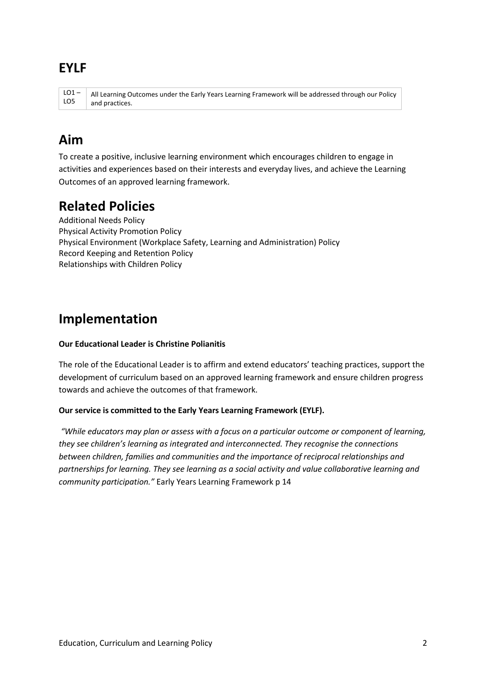### **EYLF**

 $LO1 -$ LO5 All Learning Outcomes under the Early Years Learning Framework will be addressed through our Policy and practices.

## **Aim**

To create a positive, inclusive learning environment which encourages children to engage in activities and experiences based on their interests and everyday lives, and achieve the Learning Outcomes of an approved learning framework.

## **Related Policies**

Additional Needs Policy Physical Activity Promotion Policy Physical Environment (Workplace Safety, Learning and Administration) Policy Record Keeping and Retention Policy Relationships with Children Policy

## **Implementation**

#### **Our Educational Leader is Christine Polianitis**

The role of the Educational Leader is to affirm and extend educators' teaching practices, support the development of curriculum based on an approved learning framework and ensure children progress towards and achieve the outcomes of that framework.

#### **Our service is committed to the Early Years Learning Framework (EYLF).**

*"While educators may plan or assess with a focus on a particular outcome or component of learning, they see children's learning as integrated and interconnected. They recognise the connections between children, families and communities and the importance of reciprocal relationships and partnerships for learning. They see learning as a social activity and value collaborative learning and community participation."* Early Years Learning Framework p 14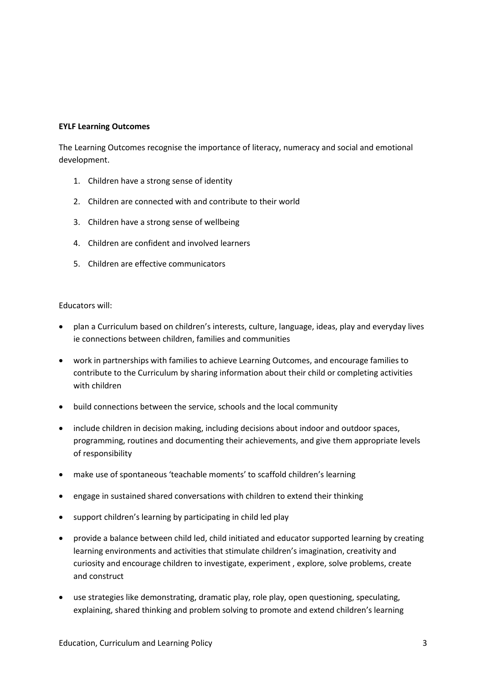#### **EYLF Learning Outcomes**

The Learning Outcomes recognise the importance of literacy, numeracy and social and emotional development.

- 1. Children have a strong sense of identity
- 2. Children are connected with and contribute to their world
- 3. Children have a strong sense of wellbeing
- 4. Children are confident and involved learners
- 5. Children are effective communicators

#### Educators will:

- plan a Curriculum based on children's interests, culture, language, ideas, play and everyday lives ie connections between children, families and communities
- work in partnerships with families to achieve Learning Outcomes, and encourage families to contribute to the Curriculum by sharing information about their child or completing activities with children
- build connections between the service, schools and the local community
- include children in decision making, including decisions about indoor and outdoor spaces, programming, routines and documenting their achievements, and give them appropriate levels of responsibility
- make use of spontaneous 'teachable moments' to scaffold children's learning
- engage in sustained shared conversations with children to extend their thinking
- support children's learning by participating in child led play
- provide a balance between child led, child initiated and educator supported learning by creating learning environments and activities that stimulate children's imagination, creativity and curiosity and encourage children to investigate, experiment , explore, solve problems, create and construct
- use strategies like demonstrating, dramatic play, role play, open questioning, speculating, explaining, shared thinking and problem solving to promote and extend children's learning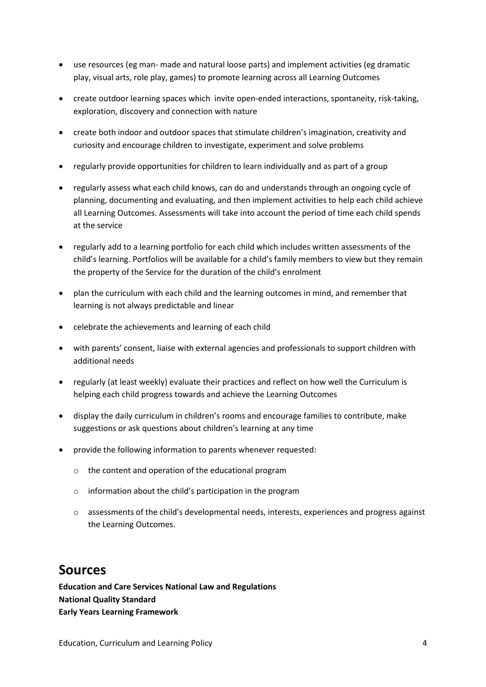- use resources (eg man- made and natural loose parts) and implement activities (eg dramatic play, visual arts, role play, games) to promote learning across all Learning Outcomes
- create outdoor learning spaces which invite open-ended interactions, spontaneity, risk-taking, exploration, discovery and connection with nature
- create both indoor and outdoor spaces that stimulate children's imagination, creativity and curiosity and encourage children to investigate, experiment and solve problems
- regularly provide opportunities for children to learn individually and as part of a group
- regularly assess what each child knows, can do and understands through an ongoing cycle of planning, documenting and evaluating, and then implement activities to help each child achieve all Learning Outcomes. Assessments will take into account the period of time each child spends at the service
- regularly add to a learning portfolio for each child which includes written assessments of the child's learning. Portfolios will be available for a child's family members to view but they remain the property of the Service for the duration of the child's enrolment
- plan the curriculum with each child and the learning outcomes in mind, and remember that learning is not always predictable and linear
- celebrate the achievements and learning of each child
- with parents' consent, liaise with external agencies and professionals to support children with additional needs
- regularly (at least weekly) evaluate their practices and reflect on how well the Curriculum is helping each child progress towards and achieve the Learning Outcomes
- display the daily curriculum in children's rooms and encourage families to contribute, make suggestions or ask questions about children's learning at any time
- provide the following information to parents whenever requested:
	- o the content and operation of the educational program
	- o information about the child's participation in the program
	- o assessments of the child's developmental needs, interests, experiences and progress against the Learning Outcomes.

### **Sources**

**Education and Care Services National Law and Regulations National Quality Standard Early Years Learning Framework**